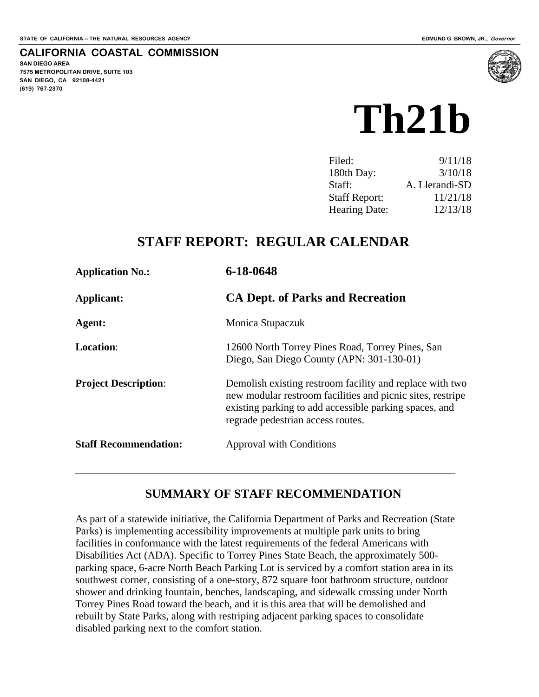#### **CALIFORNIA COASTAL COMMISSION**

**SAN DIEGO AREA 7575 METROPOLITAN DRIVE, SUITE 103 SAN DIEGO, CA 92108-4421 (619) 767-2370**



| 9/11/18        |
|----------------|
| 3/10/18        |
| A. Llerandi-SD |
| 11/21/18       |
| 12/13/18       |
|                |

## **STAFF REPORT: REGULAR CALENDAR**

| <b>Application No.:</b>      | 6-18-0648                                                                                                                                                                                                             |
|------------------------------|-----------------------------------------------------------------------------------------------------------------------------------------------------------------------------------------------------------------------|
| Applicant:                   | <b>CA Dept. of Parks and Recreation</b>                                                                                                                                                                               |
| Agent:                       | Monica Stupaczuk                                                                                                                                                                                                      |
| <b>Location:</b>             | 12600 North Torrey Pines Road, Torrey Pines, San<br>Diego, San Diego County (APN: 301-130-01)                                                                                                                         |
| <b>Project Description:</b>  | Demolish existing restroom facility and replace with two<br>new modular restroom facilities and picnic sites, restripe<br>existing parking to add accessible parking spaces, and<br>regrade pedestrian access routes. |
| <b>Staff Recommendation:</b> | <b>Approval with Conditions</b>                                                                                                                                                                                       |

## **SUMMARY OF STAFF RECOMMENDATION**

As part of a statewide initiative, the California Department of Parks and Recreation (State Parks) is implementing accessibility improvements at multiple park units to bring facilities in conformance with the latest requirements of the federal Americans with Disabilities Act (ADA). Specific to Torrey Pines State Beach, the approximately 500 parking space, 6-acre North Beach Parking Lot is serviced by a comfort station area in its southwest corner, consisting of a one-story, 872 square foot bathroom structure, outdoor shower and drinking fountain, benches, landscaping, and sidewalk crossing under North Torrey Pines Road toward the beach, and it is this area that will be demolished and rebuilt by State Parks, along with restriping adjacent parking spaces to consolidate disabled parking next to the comfort station.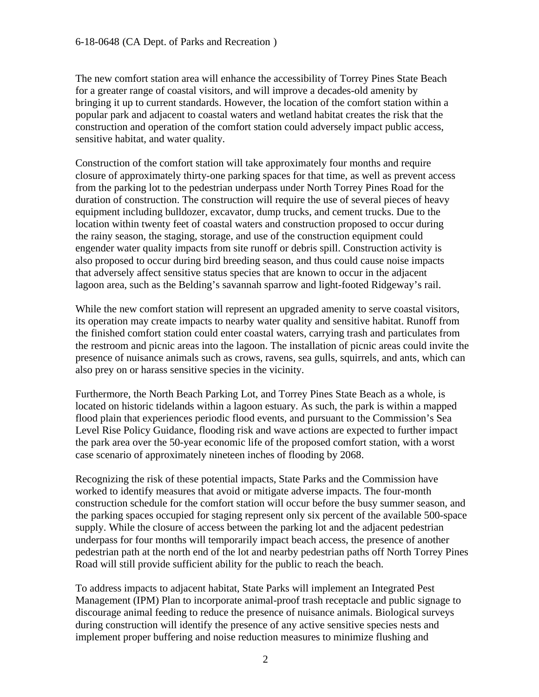The new comfort station area will enhance the accessibility of Torrey Pines State Beach for a greater range of coastal visitors, and will improve a decades-old amenity by bringing it up to current standards. However, the location of the comfort station within a popular park and adjacent to coastal waters and wetland habitat creates the risk that the construction and operation of the comfort station could adversely impact public access, sensitive habitat, and water quality.

Construction of the comfort station will take approximately four months and require closure of approximately thirty-one parking spaces for that time, as well as prevent access from the parking lot to the pedestrian underpass under North Torrey Pines Road for the duration of construction. The construction will require the use of several pieces of heavy equipment including bulldozer, excavator, dump trucks, and cement trucks. Due to the location within twenty feet of coastal waters and construction proposed to occur during the rainy season, the staging, storage, and use of the construction equipment could engender water quality impacts from site runoff or debris spill. Construction activity is also proposed to occur during bird breeding season, and thus could cause noise impacts that adversely affect sensitive status species that are known to occur in the adjacent lagoon area, such as the Belding's savannah sparrow and light-footed Ridgeway's rail.

While the new comfort station will represent an upgraded amenity to serve coastal visitors, its operation may create impacts to nearby water quality and sensitive habitat. Runoff from the finished comfort station could enter coastal waters, carrying trash and particulates from the restroom and picnic areas into the lagoon. The installation of picnic areas could invite the presence of nuisance animals such as crows, ravens, sea gulls, squirrels, and ants, which can also prey on or harass sensitive species in the vicinity.

Furthermore, the North Beach Parking Lot, and Torrey Pines State Beach as a whole, is located on historic tidelands within a lagoon estuary. As such, the park is within a mapped flood plain that experiences periodic flood events, and pursuant to the Commission's Sea Level Rise Policy Guidance, flooding risk and wave actions are expected to further impact the park area over the 50-year economic life of the proposed comfort station, with a worst case scenario of approximately nineteen inches of flooding by 2068.

Recognizing the risk of these potential impacts, State Parks and the Commission have worked to identify measures that avoid or mitigate adverse impacts. The four-month construction schedule for the comfort station will occur before the busy summer season, and the parking spaces occupied for staging represent only six percent of the available 500-space supply. While the closure of access between the parking lot and the adjacent pedestrian underpass for four months will temporarily impact beach access, the presence of another pedestrian path at the north end of the lot and nearby pedestrian paths off North Torrey Pines Road will still provide sufficient ability for the public to reach the beach.

To address impacts to adjacent habitat, State Parks will implement an Integrated Pest Management (IPM) Plan to incorporate animal-proof trash receptacle and public signage to discourage animal feeding to reduce the presence of nuisance animals. Biological surveys during construction will identify the presence of any active sensitive species nests and implement proper buffering and noise reduction measures to minimize flushing and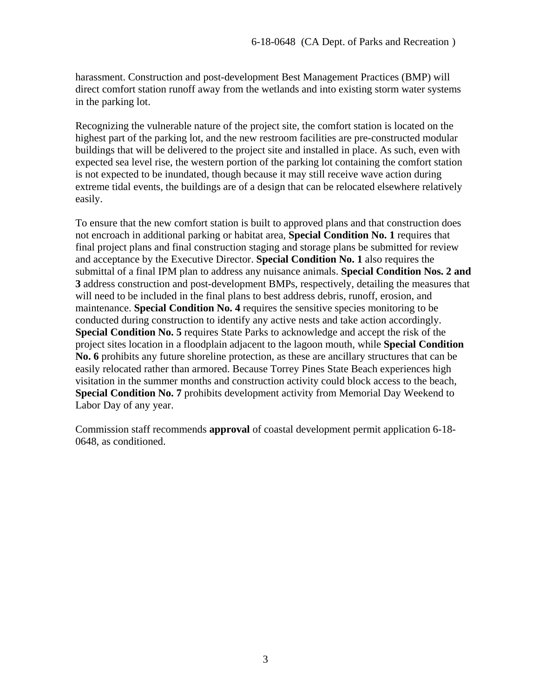harassment. Construction and post-development Best Management Practices (BMP) will direct comfort station runoff away from the wetlands and into existing storm water systems in the parking lot.

Recognizing the vulnerable nature of the project site, the comfort station is located on the highest part of the parking lot, and the new restroom facilities are pre-constructed modular buildings that will be delivered to the project site and installed in place. As such, even with expected sea level rise, the western portion of the parking lot containing the comfort station is not expected to be inundated, though because it may still receive wave action during extreme tidal events, the buildings are of a design that can be relocated elsewhere relatively easily.

To ensure that the new comfort station is built to approved plans and that construction does not encroach in additional parking or habitat area, **Special Condition No. 1** requires that final project plans and final construction staging and storage plans be submitted for review and acceptance by the Executive Director. **Special Condition No. 1** also requires the submittal of a final IPM plan to address any nuisance animals. **Special Condition Nos. 2 and 3** address construction and post-development BMPs, respectively, detailing the measures that will need to be included in the final plans to best address debris, runoff, erosion, and maintenance. **Special Condition No. 4** requires the sensitive species monitoring to be conducted during construction to identify any active nests and take action accordingly. **Special Condition No. 5** requires State Parks to acknowledge and accept the risk of the project sites location in a floodplain adjacent to the lagoon mouth, while **Special Condition No. 6** prohibits any future shoreline protection, as these are ancillary structures that can be easily relocated rather than armored. Because Torrey Pines State Beach experiences high visitation in the summer months and construction activity could block access to the beach, **Special Condition No. 7** prohibits development activity from Memorial Day Weekend to Labor Day of any year.

Commission staff recommends **approval** of coastal development permit application 6-18- 0648, as conditioned.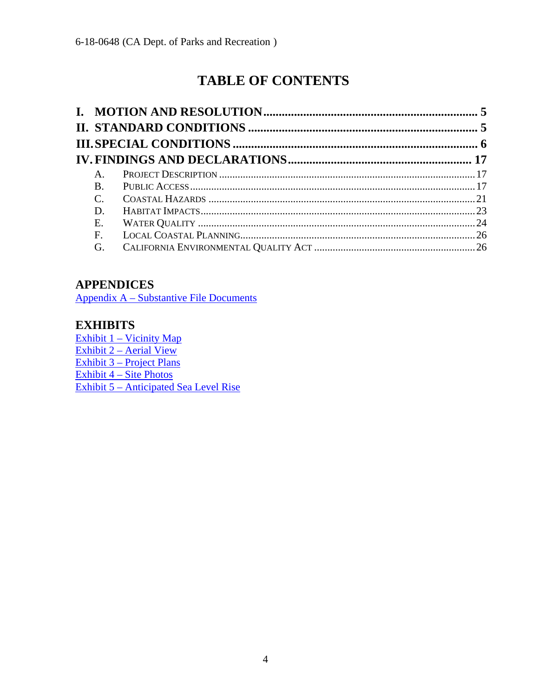# **TABLE OF CONTENTS**

| A.              |  |
|-----------------|--|
| <b>B.</b>       |  |
| $\mathcal{C}$ . |  |
| D.              |  |
| E.              |  |
| F.              |  |
| G.              |  |

## **APPENDICES**

Appendix A – [Substantive File Documents](#page-26-0)

## **EXHIBITS**

Exhibit 1 – [Vicinity Map](https://documents.coastal.ca.gov/reports/2018/12/Th21b/Th21b-12-2018-exhibits.pdf) Exhibit 2 – [Aerial View](https://documents.coastal.ca.gov/reports/2018/12/Th21b/Th21b-12-2018-exhibits.pdf) Exhibit 3 – [Project Plans](https://documents.coastal.ca.gov/reports/2018/12/Th21b/Th21b-12-2018-exhibits.pdf) Exhibit  $\overline{4 - \text{Site Photos}}$  $\overline{4 - \text{Site Photos}}$  $\overline{4 - \text{Site Photos}}$ Exhibit 5 – [Anticipated Sea Level Rise](https://documents.coastal.ca.gov/reports/2018/12/Th21b/Th21b-12-2018-exhibits.pdf)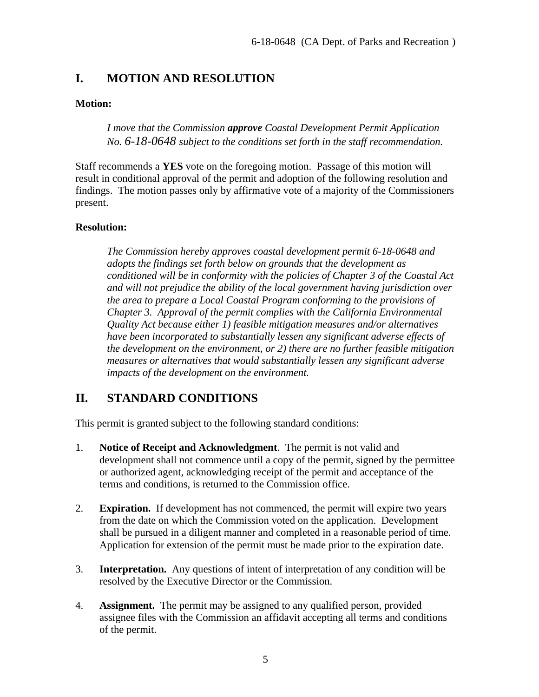## <span id="page-4-0"></span>**I. MOTION AND RESOLUTION**

#### **Motion:**

*I move that the Commission approve Coastal Development Permit Application No. 6-18-0648 subject to the conditions set forth in the staff recommendation.*

Staff recommends a **YES** vote on the foregoing motion. Passage of this motion will result in conditional approval of the permit and adoption of the following resolution and findings. The motion passes only by affirmative vote of a majority of the Commissioners present.

#### **Resolution:**

*The Commission hereby approves coastal development permit 6-18-0648 and adopts the findings set forth below on grounds that the development as conditioned will be in conformity with the policies of Chapter 3 of the Coastal Act and will not prejudice the ability of the local government having jurisdiction over the area to prepare a Local Coastal Program conforming to the provisions of Chapter 3. Approval of the permit complies with the California Environmental Quality Act because either 1) feasible mitigation measures and/or alternatives have been incorporated to substantially lessen any significant adverse effects of the development on the environment, or 2) there are no further feasible mitigation measures or alternatives that would substantially lessen any significant adverse impacts of the development on the environment.*

## <span id="page-4-1"></span>**II. STANDARD CONDITIONS**

This permit is granted subject to the following standard conditions:

- 1. **Notice of Receipt and Acknowledgment**. The permit is not valid and development shall not commence until a copy of the permit, signed by the permittee or authorized agent, acknowledging receipt of the permit and acceptance of the terms and conditions, is returned to the Commission office.
- 2. **Expiration.** If development has not commenced, the permit will expire two years from the date on which the Commission voted on the application. Development shall be pursued in a diligent manner and completed in a reasonable period of time. Application for extension of the permit must be made prior to the expiration date.
- 3. **Interpretation.** Any questions of intent of interpretation of any condition will be resolved by the Executive Director or the Commission.
- 4. **Assignment.** The permit may be assigned to any qualified person, provided assignee files with the Commission an affidavit accepting all terms and conditions of the permit.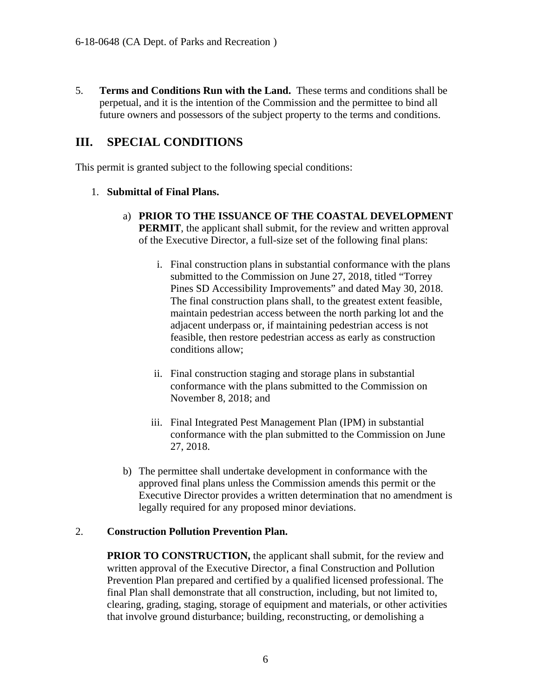5. **Terms and Conditions Run with the Land.** These terms and conditions shall be perpetual, and it is the intention of the Commission and the permittee to bind all future owners and possessors of the subject property to the terms and conditions.

## <span id="page-5-0"></span>**III. SPECIAL CONDITIONS**

This permit is granted subject to the following special conditions:

### 1. **Submittal of Final Plans.**

- a) **PRIOR TO THE ISSUANCE OF THE COASTAL DEVELOPMENT PERMIT**, the applicant shall submit, for the review and written approval of the Executive Director, a full-size set of the following final plans:
	- i. Final construction plans in substantial conformance with the plans submitted to the Commission on June 27, 2018, titled "Torrey Pines SD Accessibility Improvements" and dated May 30, 2018. The final construction plans shall, to the greatest extent feasible, maintain pedestrian access between the north parking lot and the adjacent underpass or, if maintaining pedestrian access is not feasible, then restore pedestrian access as early as construction conditions allow;
	- ii. Final construction staging and storage plans in substantial conformance with the plans submitted to the Commission on November 8, 2018; and
	- iii. Final Integrated Pest Management Plan (IPM) in substantial conformance with the plan submitted to the Commission on June 27, 2018.
- b) The permittee shall undertake development in conformance with the approved final plans unless the Commission amends this permit or the Executive Director provides a written determination that no amendment is legally required for any proposed minor deviations.

### 2. **Construction Pollution Prevention Plan.**

**PRIOR TO CONSTRUCTION, the applicant shall submit, for the review and** written approval of the Executive Director, a final Construction and Pollution Prevention Plan prepared and certified by a qualified licensed professional. The final Plan shall demonstrate that all construction, including, but not limited to, clearing, grading, staging, storage of equipment and materials, or other activities that involve ground disturbance; building, reconstructing, or demolishing a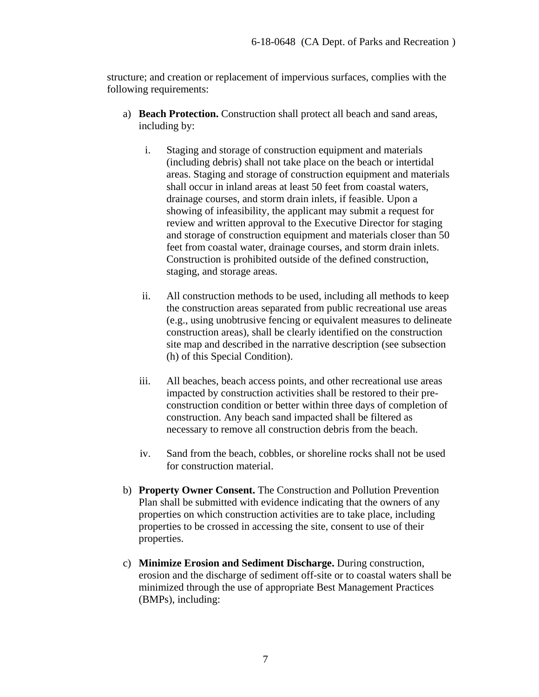structure; and creation or replacement of impervious surfaces, complies with the following requirements:

- a) **Beach Protection.** Construction shall protect all beach and sand areas, including by:
	- i. Staging and storage of construction equipment and materials (including debris) shall not take place on the beach or intertidal areas. Staging and storage of construction equipment and materials shall occur in inland areas at least 50 feet from coastal waters, drainage courses, and storm drain inlets, if feasible. Upon a showing of infeasibility, the applicant may submit a request for review and written approval to the Executive Director for staging and storage of construction equipment and materials closer than 50 feet from coastal water, drainage courses, and storm drain inlets. Construction is prohibited outside of the defined construction, staging, and storage areas.
	- ii. All construction methods to be used, including all methods to keep the construction areas separated from public recreational use areas (e.g., using unobtrusive fencing or equivalent measures to delineate construction areas), shall be clearly identified on the construction site map and described in the narrative description (see subsection (h) of this Special Condition).
	- iii. All beaches, beach access points, and other recreational use areas impacted by construction activities shall be restored to their preconstruction condition or better within three days of completion of construction. Any beach sand impacted shall be filtered as necessary to remove all construction debris from the beach.
	- iv. Sand from the beach, cobbles, or shoreline rocks shall not be used for construction material.
- b) **Property Owner Consent.** The Construction and Pollution Prevention Plan shall be submitted with evidence indicating that the owners of any properties on which construction activities are to take place, including properties to be crossed in accessing the site, consent to use of their properties.
- c) **Minimize Erosion and Sediment Discharge.** During construction, erosion and the discharge of sediment off-site or to coastal waters shall be minimized through the use of appropriate Best Management Practices (BMPs), including: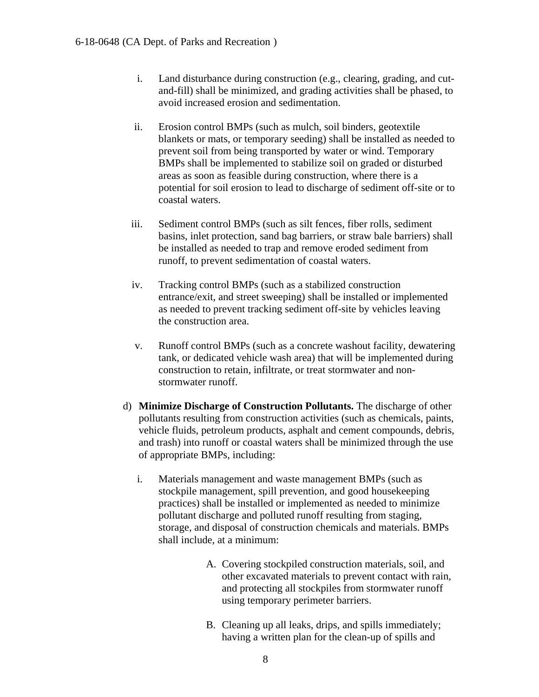- i. Land disturbance during construction (e.g., clearing, grading, and cutand-fill) shall be minimized, and grading activities shall be phased, to avoid increased erosion and sedimentation.
- ii. Erosion control BMPs (such as mulch, soil binders, geotextile blankets or mats, or temporary seeding) shall be installed as needed to prevent soil from being transported by water or wind. Temporary BMPs shall be implemented to stabilize soil on graded or disturbed areas as soon as feasible during construction, where there is a potential for soil erosion to lead to discharge of sediment off-site or to coastal waters.
- iii. Sediment control BMPs (such as silt fences, fiber rolls, sediment basins, inlet protection, sand bag barriers, or straw bale barriers) shall be installed as needed to trap and remove eroded sediment from runoff, to prevent sedimentation of coastal waters.
- iv. Tracking control BMPs (such as a stabilized construction entrance/exit, and street sweeping) shall be installed or implemented as needed to prevent tracking sediment off-site by vehicles leaving the construction area.
- v. Runoff control BMPs (such as a concrete washout facility, dewatering tank, or dedicated vehicle wash area) that will be implemented during construction to retain, infiltrate, or treat stormwater and nonstormwater runoff.
- d) **Minimize Discharge of Construction Pollutants.** The discharge of other pollutants resulting from construction activities (such as chemicals, paints, vehicle fluids, petroleum products, asphalt and cement compounds, debris, and trash) into runoff or coastal waters shall be minimized through the use of appropriate BMPs, including:
	- i. Materials management and waste management BMPs (such as stockpile management, spill prevention, and good housekeeping practices) shall be installed or implemented as needed to minimize pollutant discharge and polluted runoff resulting from staging, storage, and disposal of construction chemicals and materials. BMPs shall include, at a minimum:
		- A. Covering stockpiled construction materials, soil, and other excavated materials to prevent contact with rain, and protecting all stockpiles from stormwater runoff using temporary perimeter barriers.
		- B. Cleaning up all leaks, drips, and spills immediately; having a written plan for the clean-up of spills and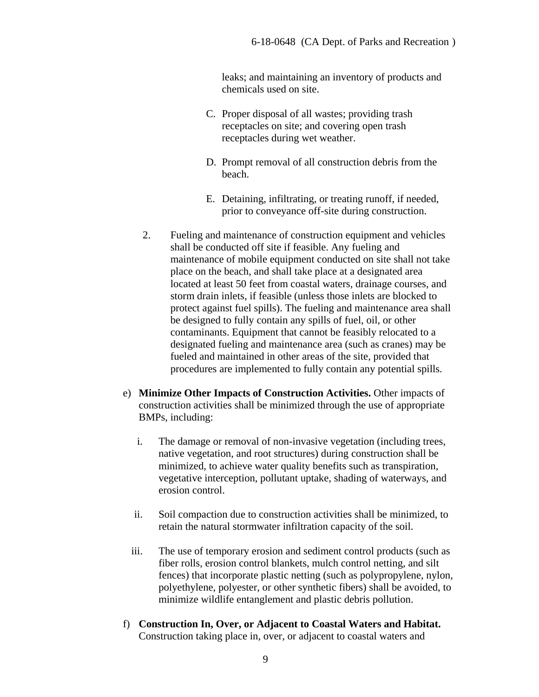leaks; and maintaining an inventory of products and chemicals used on site.

- C. Proper disposal of all wastes; providing trash receptacles on site; and covering open trash receptacles during wet weather.
- D. Prompt removal of all construction debris from the beach.
- E. Detaining, infiltrating, or treating runoff, if needed, prior to conveyance off-site during construction.
- 2. Fueling and maintenance of construction equipment and vehicles shall be conducted off site if feasible. Any fueling and maintenance of mobile equipment conducted on site shall not take place on the beach, and shall take place at a designated area located at least 50 feet from coastal waters, drainage courses, and storm drain inlets, if feasible (unless those inlets are blocked to protect against fuel spills). The fueling and maintenance area shall be designed to fully contain any spills of fuel, oil, or other contaminants. Equipment that cannot be feasibly relocated to a designated fueling and maintenance area (such as cranes) may be fueled and maintained in other areas of the site, provided that procedures are implemented to fully contain any potential spills.
- e) **Minimize Other Impacts of Construction Activities.** Other impacts of construction activities shall be minimized through the use of appropriate BMPs, including:
	- i. The damage or removal of non-invasive vegetation (including trees, native vegetation, and root structures) during construction shall be minimized, to achieve water quality benefits such as transpiration, vegetative interception, pollutant uptake, shading of waterways, and erosion control.
	- ii. Soil compaction due to construction activities shall be minimized, to retain the natural stormwater infiltration capacity of the soil.
	- iii. The use of temporary erosion and sediment control products (such as fiber rolls, erosion control blankets, mulch control netting, and silt fences) that incorporate plastic netting (such as polypropylene, nylon, polyethylene, polyester, or other synthetic fibers) shall be avoided, to minimize wildlife entanglement and plastic debris pollution.
- f) **Construction In, Over, or Adjacent to Coastal Waters and Habitat.**  Construction taking place in, over, or adjacent to coastal waters and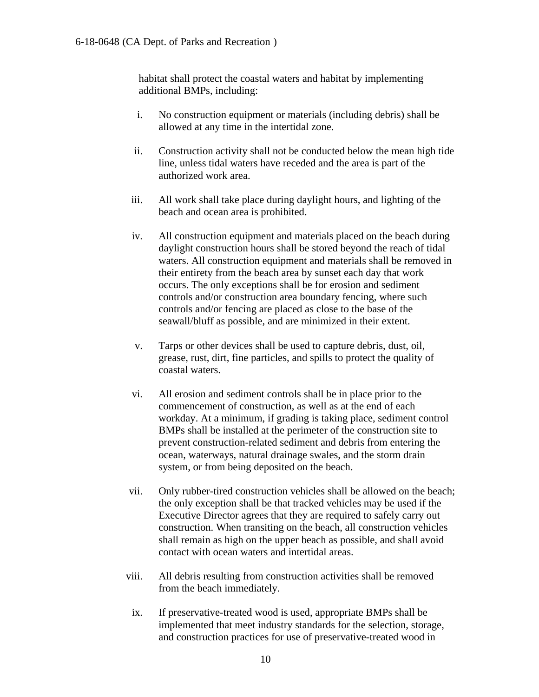habitat shall protect the coastal waters and habitat by implementing additional BMPs, including:

- i. No construction equipment or materials (including debris) shall be allowed at any time in the intertidal zone.
- ii. Construction activity shall not be conducted below the mean high tide line, unless tidal waters have receded and the area is part of the authorized work area.
- iii. All work shall take place during daylight hours, and lighting of the beach and ocean area is prohibited.
- iv. All construction equipment and materials placed on the beach during daylight construction hours shall be stored beyond the reach of tidal waters. All construction equipment and materials shall be removed in their entirety from the beach area by sunset each day that work occurs. The only exceptions shall be for erosion and sediment controls and/or construction area boundary fencing, where such controls and/or fencing are placed as close to the base of the seawall/bluff as possible, and are minimized in their extent.
- v. Tarps or other devices shall be used to capture debris, dust, oil, grease, rust, dirt, fine particles, and spills to protect the quality of coastal waters.
- vi. All erosion and sediment controls shall be in place prior to the commencement of construction, as well as at the end of each workday. At a minimum, if grading is taking place, sediment control BMPs shall be installed at the perimeter of the construction site to prevent construction-related sediment and debris from entering the ocean, waterways, natural drainage swales, and the storm drain system, or from being deposited on the beach.
- vii. Only rubber-tired construction vehicles shall be allowed on the beach; the only exception shall be that tracked vehicles may be used if the Executive Director agrees that they are required to safely carry out construction. When transiting on the beach, all construction vehicles shall remain as high on the upper beach as possible, and shall avoid contact with ocean waters and intertidal areas.
- viii. All debris resulting from construction activities shall be removed from the beach immediately.
- ix. If preservative-treated wood is used, appropriate BMPs shall be implemented that meet industry standards for the selection, storage, and construction practices for use of preservative-treated wood in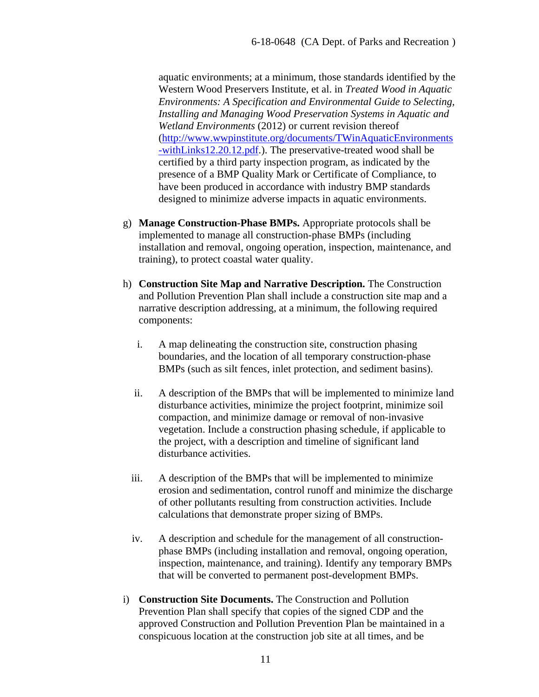aquatic environments; at a minimum, those standards identified by the Western Wood Preservers Institute, et al. in *Treated Wood in Aquatic Environments: A Specification and Environmental Guide to Selecting, Installing and Managing Wood Preservation Systems in Aquatic and Wetland Environments* (2012) or current revision thereof [\(http://www.wwpinstitute.org/documents/TWinAquaticEnvironments](http://www.wwpinstitute.org/documents/TWinAquaticEnvironments-withLinks12.20.12.pdf) [-withLinks12.20.12.pdf.](http://www.wwpinstitute.org/documents/TWinAquaticEnvironments-withLinks12.20.12.pdf)). The preservative-treated wood shall be certified by a third party inspection program, as indicated by the presence of a BMP Quality Mark or Certificate of Compliance, to have been produced in accordance with industry BMP standards designed to minimize adverse impacts in aquatic environments.

- g) **Manage Construction-Phase BMPs.** Appropriate protocols shall be implemented to manage all construction-phase BMPs (including installation and removal, ongoing operation, inspection, maintenance, and training), to protect coastal water quality.
- h) **Construction Site Map and Narrative Description.** The Construction and Pollution Prevention Plan shall include a construction site map and a narrative description addressing, at a minimum, the following required components:
	- i. A map delineating the construction site, construction phasing boundaries, and the location of all temporary construction-phase BMPs (such as silt fences, inlet protection, and sediment basins).
	- ii. A description of the BMPs that will be implemented to minimize land disturbance activities, minimize the project footprint, minimize soil compaction, and minimize damage or removal of non-invasive vegetation. Include a construction phasing schedule, if applicable to the project, with a description and timeline of significant land disturbance activities.
	- iii. A description of the BMPs that will be implemented to minimize erosion and sedimentation, control runoff and minimize the discharge of other pollutants resulting from construction activities. Include calculations that demonstrate proper sizing of BMPs.
	- iv. A description and schedule for the management of all constructionphase BMPs (including installation and removal, ongoing operation, inspection, maintenance, and training). Identify any temporary BMPs that will be converted to permanent post-development BMPs.
- i) **Construction Site Documents.** The Construction and Pollution Prevention Plan shall specify that copies of the signed CDP and the approved Construction and Pollution Prevention Plan be maintained in a conspicuous location at the construction job site at all times, and be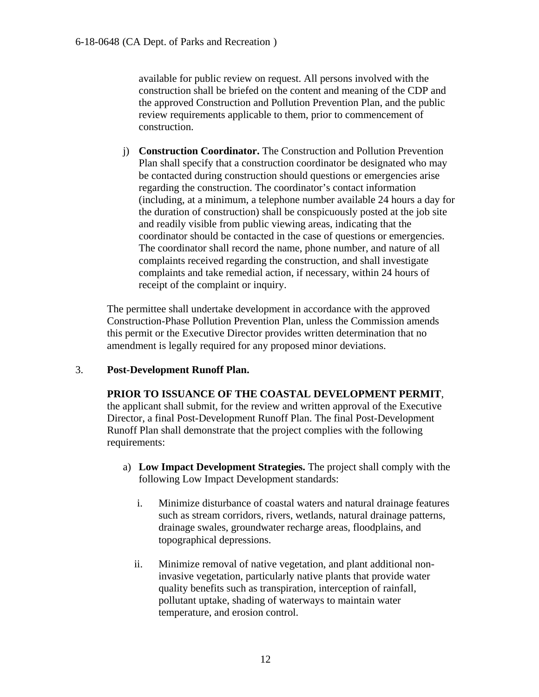available for public review on request. All persons involved with the construction shall be briefed on the content and meaning of the CDP and the approved Construction and Pollution Prevention Plan, and the public review requirements applicable to them, prior to commencement of construction.

j) **Construction Coordinator.** The Construction and Pollution Prevention Plan shall specify that a construction coordinator be designated who may be contacted during construction should questions or emergencies arise regarding the construction. The coordinator's contact information (including, at a minimum, a telephone number available 24 hours a day for the duration of construction) shall be conspicuously posted at the job site and readily visible from public viewing areas, indicating that the coordinator should be contacted in the case of questions or emergencies. The coordinator shall record the name, phone number, and nature of all complaints received regarding the construction, and shall investigate complaints and take remedial action, if necessary, within 24 hours of receipt of the complaint or inquiry.

The permittee shall undertake development in accordance with the approved Construction-Phase Pollution Prevention Plan, unless the Commission amends this permit or the Executive Director provides written determination that no amendment is legally required for any proposed minor deviations.

### 3. **Post-Development Runoff Plan.**

**PRIOR TO ISSUANCE OF THE COASTAL DEVELOPMENT PERMIT**,

the applicant shall submit, for the review and written approval of the Executive Director, a final Post-Development Runoff Plan. The final Post-Development Runoff Plan shall demonstrate that the project complies with the following requirements:

- a) **Low Impact Development Strategies.** The project shall comply with the following Low Impact Development standards:
	- i. Minimize disturbance of coastal waters and natural drainage features such as stream corridors, rivers, wetlands, natural drainage patterns, drainage swales, groundwater recharge areas, floodplains, and topographical depressions.
	- ii. Minimize removal of native vegetation, and plant additional noninvasive vegetation, particularly native plants that provide water quality benefits such as transpiration, interception of rainfall, pollutant uptake, shading of waterways to maintain water temperature, and erosion control.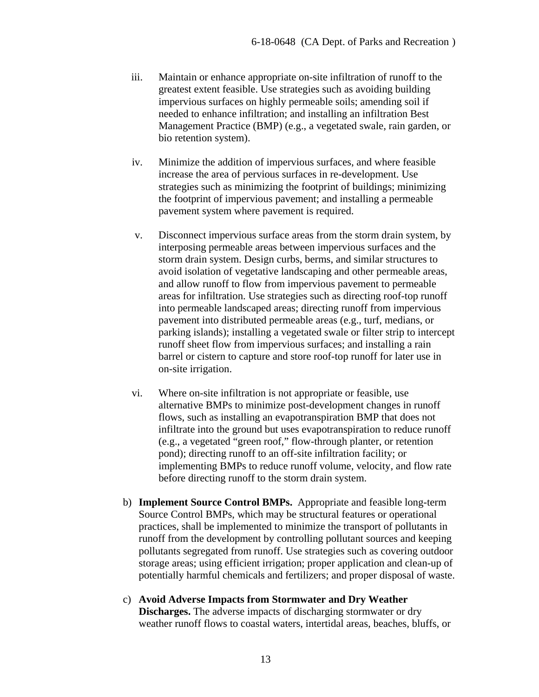- iii. Maintain or enhance appropriate on-site infiltration of runoff to the greatest extent feasible. Use strategies such as avoiding building impervious surfaces on highly permeable soils; amending soil if needed to enhance infiltration; and installing an infiltration Best Management Practice (BMP) (e.g., a vegetated swale, rain garden, or bio retention system).
- iv. Minimize the addition of impervious surfaces, and where feasible increase the area of pervious surfaces in re-development. Use strategies such as minimizing the footprint of buildings; minimizing the footprint of impervious pavement; and installing a permeable pavement system where pavement is required.
- v. Disconnect impervious surface areas from the storm drain system, by interposing permeable areas between impervious surfaces and the storm drain system. Design curbs, berms, and similar structures to avoid isolation of vegetative landscaping and other permeable areas, and allow runoff to flow from impervious pavement to permeable areas for infiltration. Use strategies such as directing roof-top runoff into permeable landscaped areas; directing runoff from impervious pavement into distributed permeable areas (e.g., turf, medians, or parking islands); installing a vegetated swale or filter strip to intercept runoff sheet flow from impervious surfaces; and installing a rain barrel or cistern to capture and store roof-top runoff for later use in on-site irrigation.
- vi. Where on-site infiltration is not appropriate or feasible, use alternative BMPs to minimize post-development changes in runoff flows, such as installing an evapotranspiration BMP that does not infiltrate into the ground but uses evapotranspiration to reduce runoff (e.g., a vegetated "green roof," flow-through planter, or retention pond); directing runoff to an off-site infiltration facility; or implementing BMPs to reduce runoff volume, velocity, and flow rate before directing runoff to the storm drain system.
- b) **Implement Source Control BMPs.** Appropriate and feasible long-term Source Control BMPs, which may be structural features or operational practices, shall be implemented to minimize the transport of pollutants in runoff from the development by controlling pollutant sources and keeping pollutants segregated from runoff. Use strategies such as covering outdoor storage areas; using efficient irrigation; proper application and clean-up of potentially harmful chemicals and fertilizers; and proper disposal of waste.
- c) **Avoid Adverse Impacts from Stormwater and Dry Weather Discharges.** The adverse impacts of discharging stormwater or dry weather runoff flows to coastal waters, intertidal areas, beaches, bluffs, or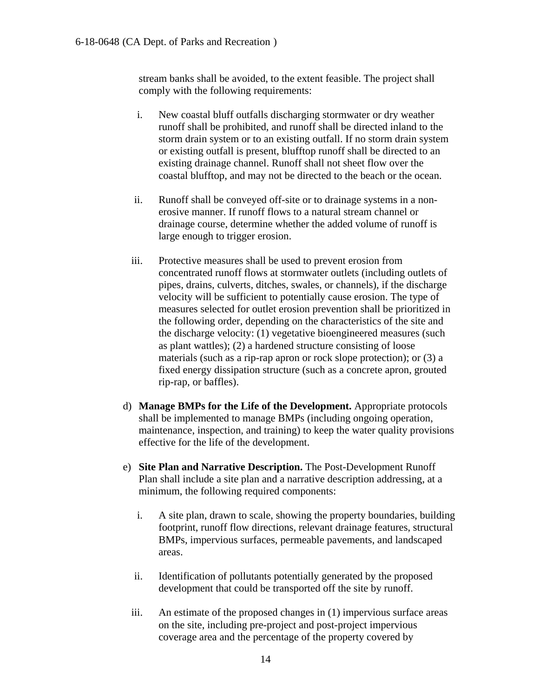stream banks shall be avoided, to the extent feasible. The project shall comply with the following requirements:

- i. New coastal bluff outfalls discharging stormwater or dry weather runoff shall be prohibited, and runoff shall be directed inland to the storm drain system or to an existing outfall. If no storm drain system or existing outfall is present, blufftop runoff shall be directed to an existing drainage channel. Runoff shall not sheet flow over the coastal blufftop, and may not be directed to the beach or the ocean.
- ii. Runoff shall be conveyed off-site or to drainage systems in a nonerosive manner. If runoff flows to a natural stream channel or drainage course, determine whether the added volume of runoff is large enough to trigger erosion.
- iii. Protective measures shall be used to prevent erosion from concentrated runoff flows at stormwater outlets (including outlets of pipes, drains, culverts, ditches, swales, or channels), if the discharge velocity will be sufficient to potentially cause erosion. The type of measures selected for outlet erosion prevention shall be prioritized in the following order, depending on the characteristics of the site and the discharge velocity: (1) vegetative bioengineered measures (such as plant wattles); (2) a hardened structure consisting of loose materials (such as a rip-rap apron or rock slope protection); or (3) a fixed energy dissipation structure (such as a concrete apron, grouted rip-rap, or baffles).
- d) **Manage BMPs for the Life of the Development.** Appropriate protocols shall be implemented to manage BMPs (including ongoing operation, maintenance, inspection, and training) to keep the water quality provisions effective for the life of the development.
- e) **Site Plan and Narrative Description.** The Post-Development Runoff Plan shall include a site plan and a narrative description addressing, at a minimum, the following required components:
	- i. A site plan, drawn to scale, showing the property boundaries, building footprint, runoff flow directions, relevant drainage features, structural BMPs, impervious surfaces, permeable pavements, and landscaped areas.
	- ii. Identification of pollutants potentially generated by the proposed development that could be transported off the site by runoff.
	- iii. An estimate of the proposed changes in (1) impervious surface areas on the site, including pre-project and post-project impervious coverage area and the percentage of the property covered by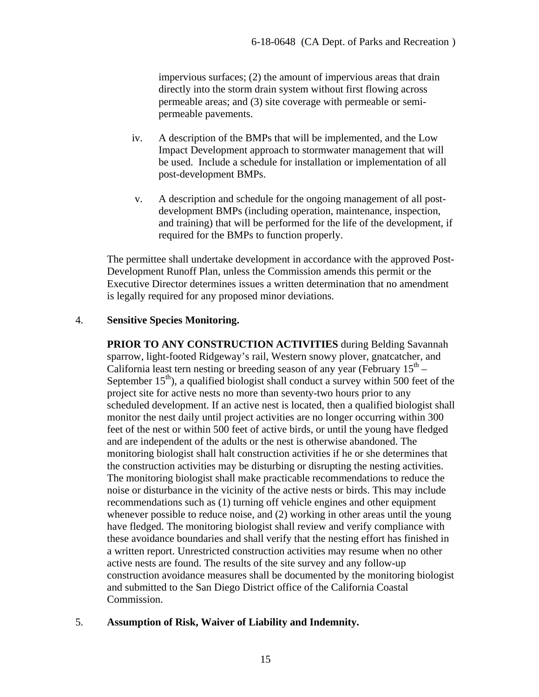impervious surfaces; (2) the amount of impervious areas that drain directly into the storm drain system without first flowing across permeable areas; and (3) site coverage with permeable or semipermeable pavements.

- iv. A description of the BMPs that will be implemented, and the Low Impact Development approach to stormwater management that will be used. Include a schedule for installation or implementation of all post-development BMPs.
- v. A description and schedule for the ongoing management of all postdevelopment BMPs (including operation, maintenance, inspection, and training) that will be performed for the life of the development, if required for the BMPs to function properly.

The permittee shall undertake development in accordance with the approved Post-Development Runoff Plan, unless the Commission amends this permit or the Executive Director determines issues a written determination that no amendment is legally required for any proposed minor deviations.

#### 4. **Sensitive Species Monitoring.**

**PRIOR TO ANY CONSTRUCTION ACTIVITIES** during Belding Savannah sparrow, light-footed Ridgeway's rail, Western snowy plover, gnatcatcher, and California least tern nesting or breeding season of any year (February  $15<sup>th</sup>$  – September  $15<sup>th</sup>$ ), a qualified biologist shall conduct a survey within 500 feet of the project site for active nests no more than seventy-two hours prior to any scheduled development. If an active nest is located, then a qualified biologist shall monitor the nest daily until project activities are no longer occurring within 300 feet of the nest or within 500 feet of active birds, or until the young have fledged and are independent of the adults or the nest is otherwise abandoned. The monitoring biologist shall halt construction activities if he or she determines that the construction activities may be disturbing or disrupting the nesting activities. The monitoring biologist shall make practicable recommendations to reduce the noise or disturbance in the vicinity of the active nests or birds. This may include recommendations such as (1) turning off vehicle engines and other equipment whenever possible to reduce noise, and (2) working in other areas until the young have fledged. The monitoring biologist shall review and verify compliance with these avoidance boundaries and shall verify that the nesting effort has finished in a written report. Unrestricted construction activities may resume when no other active nests are found. The results of the site survey and any follow-up construction avoidance measures shall be documented by the monitoring biologist and submitted to the San Diego District office of the California Coastal Commission.

#### 5. **Assumption of Risk, Waiver of Liability and Indemnity.**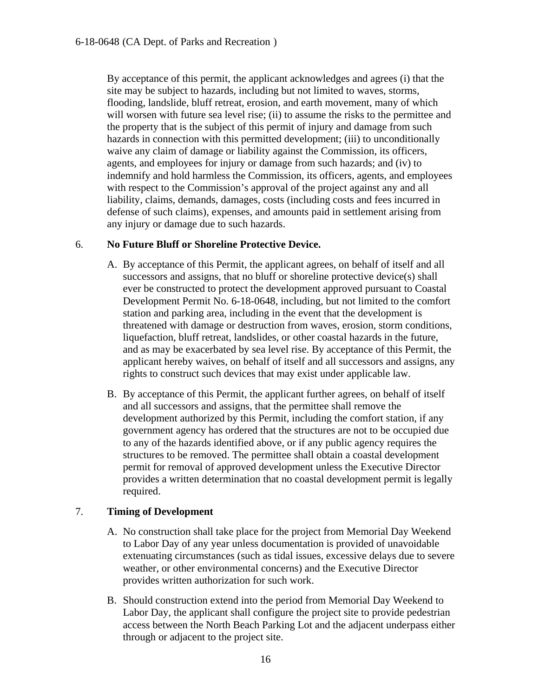By acceptance of this permit, the applicant acknowledges and agrees (i) that the site may be subject to hazards, including but not limited to waves, storms, flooding, landslide, bluff retreat, erosion, and earth movement, many of which will worsen with future sea level rise; (ii) to assume the risks to the permittee and the property that is the subject of this permit of injury and damage from such hazards in connection with this permitted development; (iii) to unconditionally waive any claim of damage or liability against the Commission, its officers, agents, and employees for injury or damage from such hazards; and (iv) to indemnify and hold harmless the Commission, its officers, agents, and employees with respect to the Commission's approval of the project against any and all liability, claims, demands, damages, costs (including costs and fees incurred in defense of such claims), expenses, and amounts paid in settlement arising from any injury or damage due to such hazards.

#### 6. **No Future Bluff or Shoreline Protective Device.**

- A. By acceptance of this Permit, the applicant agrees, on behalf of itself and all successors and assigns, that no bluff or shoreline protective device(s) shall ever be constructed to protect the development approved pursuant to Coastal Development Permit No. 6-18-0648, including, but not limited to the comfort station and parking area, including in the event that the development is threatened with damage or destruction from waves, erosion, storm conditions, liquefaction, bluff retreat, landslides, or other coastal hazards in the future, and as may be exacerbated by sea level rise. By acceptance of this Permit, the applicant hereby waives, on behalf of itself and all successors and assigns, any rights to construct such devices that may exist under applicable law.
- B. By acceptance of this Permit, the applicant further agrees, on behalf of itself and all successors and assigns, that the permittee shall remove the development authorized by this Permit, including the comfort station, if any government agency has ordered that the structures are not to be occupied due to any of the hazards identified above, or if any public agency requires the structures to be removed. The permittee shall obtain a coastal development permit for removal of approved development unless the Executive Director provides a written determination that no coastal development permit is legally required.

### 7. **Timing of Development**

- A. No construction shall take place for the project from Memorial Day Weekend to Labor Day of any year unless documentation is provided of unavoidable extenuating circumstances (such as tidal issues, excessive delays due to severe weather, or other environmental concerns) and the Executive Director provides written authorization for such work.
- B. Should construction extend into the period from Memorial Day Weekend to Labor Day, the applicant shall configure the project site to provide pedestrian access between the North Beach Parking Lot and the adjacent underpass either through or adjacent to the project site.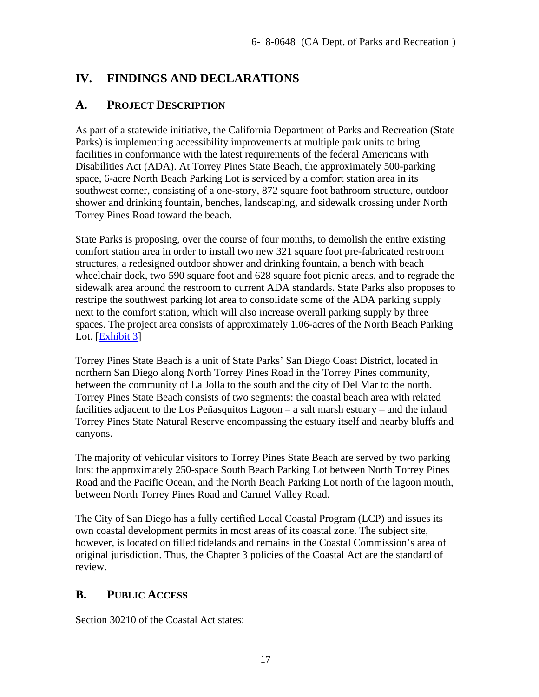## <span id="page-16-0"></span>**IV. FINDINGS AND DECLARATIONS**

## <span id="page-16-1"></span>**A. PROJECT DESCRIPTION**

As part of a statewide initiative, the California Department of Parks and Recreation (State Parks) is implementing accessibility improvements at multiple park units to bring facilities in conformance with the latest requirements of the federal Americans with Disabilities Act (ADA). At Torrey Pines State Beach, the approximately 500-parking space, 6-acre North Beach Parking Lot is serviced by a comfort station area in its southwest corner, consisting of a one-story, 872 square foot bathroom structure, outdoor shower and drinking fountain, benches, landscaping, and sidewalk crossing under North Torrey Pines Road toward the beach.

State Parks is proposing, over the course of four months, to demolish the entire existing comfort station area in order to install two new 321 square foot pre-fabricated restroom structures, a redesigned outdoor shower and drinking fountain, a bench with beach wheelchair dock, two 590 square foot and 628 square foot picnic areas, and to regrade the sidewalk area around the restroom to current ADA standards. State Parks also proposes to restripe the southwest parking lot area to consolidate some of the ADA parking supply next to the comfort station, which will also increase overall parking supply by three spaces. The project area consists of approximately 1.06-acres of the North Beach Parking Lot. [\[Exhibit 3\]](https://documents.coastal.ca.gov/reports/2018/12/Th21b/Th21b-12-2018-exhibits.pdf)

Torrey Pines State Beach is a unit of State Parks' San Diego Coast District, located in northern San Diego along North Torrey Pines Road in the Torrey Pines community, between the community of La Jolla to the south and the city of Del Mar to the north. Torrey Pines State Beach consists of two segments: the coastal beach area with related facilities adjacent to the Los Peñasquitos Lagoon – a salt marsh estuary – and the inland Torrey Pines State Natural Reserve encompassing the estuary itself and nearby bluffs and canyons.

The majority of vehicular visitors to Torrey Pines State Beach are served by two parking lots: the approximately 250-space South Beach Parking Lot between North Torrey Pines Road and the Pacific Ocean, and the North Beach Parking Lot north of the lagoon mouth, between North Torrey Pines Road and Carmel Valley Road.

The City of San Diego has a fully certified Local Coastal Program (LCP) and issues its own coastal development permits in most areas of its coastal zone. The subject site, however, is located on filled tidelands and remains in the Coastal Commission's area of original jurisdiction. Thus, the Chapter 3 policies of the Coastal Act are the standard of review.

## <span id="page-16-2"></span>**B. PUBLIC ACCESS**

Section 30210 of the Coastal Act states: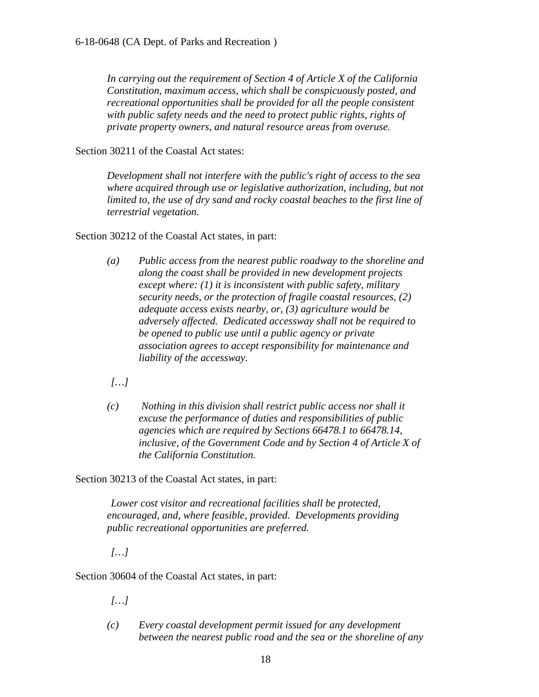*In carrying out the requirement of Section 4 of Article X of the California Constitution, maximum access, which shall be conspicuously posted, and recreational opportunities shall be provided for all the people consistent with public safety needs and the need to protect public rights, rights of private property owners, and natural resource areas from overuse.*

Section 30211 of the Coastal Act states:

*Development shall not interfere with the public's right of access to the sea where acquired through use or legislative authorization, including, but not limited to, the use of dry sand and rocky coastal beaches to the first line of terrestrial vegetation.*

Section 30212 of the Coastal Act states, in part:

*(a) Public access from the nearest public roadway to the shoreline and along the coast shall be provided in new development projects except where: (1) it is inconsistent with public safety, military security needs, or the protection of fragile coastal resources, (2) adequate access exists nearby, or, (3) agriculture would be adversely affected. Dedicated accessway shall not be required to be opened to public use until a public agency or private association agrees to accept responsibility for maintenance and liability of the accessway.*

*[…]*

*(c) Nothing in this division shall restrict public access nor shall it excuse the performance of duties and responsibilities of public agencies which are required by Sections 66478.1 to 66478.14, inclusive, of the Government Code and by Section 4 of Article X of the California Constitution.*

Section 30213 of the Coastal Act states, in part:

*Lower cost visitor and recreational facilities shall be protected, encouraged, and, where feasible, provided. Developments providing public recreational opportunities are preferred.* 

*[…]*

Section 30604 of the Coastal Act states, in part:

*[…]*

*(c) Every coastal development permit issued for any development between the nearest public road and the sea or the shoreline of any*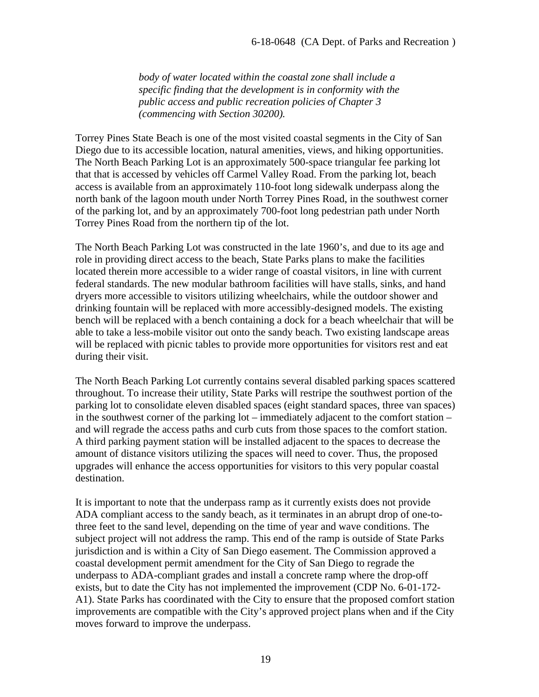*body of water located within the coastal zone shall include a specific finding that the development is in conformity with the public access and public recreation policies of Chapter 3 (commencing with Section 30200).*

Torrey Pines State Beach is one of the most visited coastal segments in the City of San Diego due to its accessible location, natural amenities, views, and hiking opportunities. The North Beach Parking Lot is an approximately 500-space triangular fee parking lot that that is accessed by vehicles off Carmel Valley Road. From the parking lot, beach access is available from an approximately 110-foot long sidewalk underpass along the north bank of the lagoon mouth under North Torrey Pines Road, in the southwest corner of the parking lot, and by an approximately 700-foot long pedestrian path under North Torrey Pines Road from the northern tip of the lot.

The North Beach Parking Lot was constructed in the late 1960's, and due to its age and role in providing direct access to the beach, State Parks plans to make the facilities located therein more accessible to a wider range of coastal visitors, in line with current federal standards. The new modular bathroom facilities will have stalls, sinks, and hand dryers more accessible to visitors utilizing wheelchairs, while the outdoor shower and drinking fountain will be replaced with more accessibly-designed models. The existing bench will be replaced with a bench containing a dock for a beach wheelchair that will be able to take a less-mobile visitor out onto the sandy beach. Two existing landscape areas will be replaced with picnic tables to provide more opportunities for visitors rest and eat during their visit.

The North Beach Parking Lot currently contains several disabled parking spaces scattered throughout. To increase their utility, State Parks will restripe the southwest portion of the parking lot to consolidate eleven disabled spaces (eight standard spaces, three van spaces) in the southwest corner of the parking lot – immediately adjacent to the comfort station – and will regrade the access paths and curb cuts from those spaces to the comfort station. A third parking payment station will be installed adjacent to the spaces to decrease the amount of distance visitors utilizing the spaces will need to cover. Thus, the proposed upgrades will enhance the access opportunities for visitors to this very popular coastal destination.

It is important to note that the underpass ramp as it currently exists does not provide ADA compliant access to the sandy beach, as it terminates in an abrupt drop of one-tothree feet to the sand level, depending on the time of year and wave conditions. The subject project will not address the ramp. This end of the ramp is outside of State Parks jurisdiction and is within a City of San Diego easement. The Commission approved a coastal development permit amendment for the City of San Diego to regrade the underpass to ADA-compliant grades and install a concrete ramp where the drop-off exists, but to date the City has not implemented the improvement (CDP No. 6-01-172- A1). State Parks has coordinated with the City to ensure that the proposed comfort station improvements are compatible with the City's approved project plans when and if the City moves forward to improve the underpass.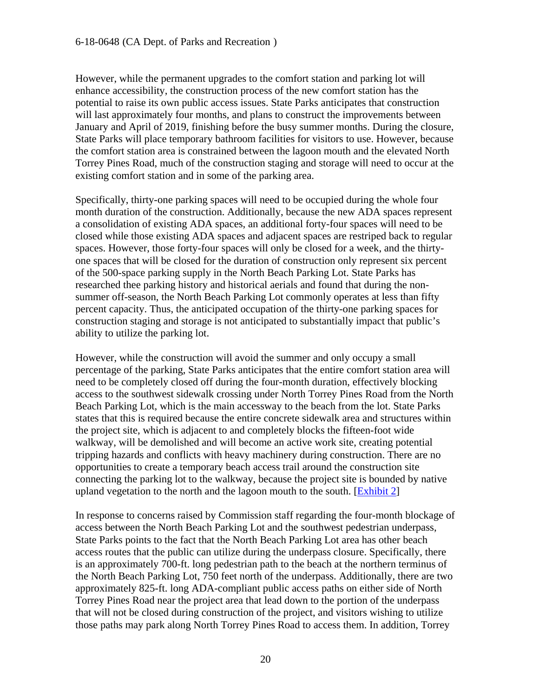However, while the permanent upgrades to the comfort station and parking lot will enhance accessibility, the construction process of the new comfort station has the potential to raise its own public access issues. State Parks anticipates that construction will last approximately four months, and plans to construct the improvements between January and April of 2019, finishing before the busy summer months. During the closure, State Parks will place temporary bathroom facilities for visitors to use. However, because the comfort station area is constrained between the lagoon mouth and the elevated North Torrey Pines Road, much of the construction staging and storage will need to occur at the existing comfort station and in some of the parking area.

Specifically, thirty-one parking spaces will need to be occupied during the whole four month duration of the construction. Additionally, because the new ADA spaces represent a consolidation of existing ADA spaces, an additional forty-four spaces will need to be closed while those existing ADA spaces and adjacent spaces are restriped back to regular spaces. However, those forty-four spaces will only be closed for a week, and the thirtyone spaces that will be closed for the duration of construction only represent six percent of the 500-space parking supply in the North Beach Parking Lot. State Parks has researched thee parking history and historical aerials and found that during the nonsummer off-season, the North Beach Parking Lot commonly operates at less than fifty percent capacity. Thus, the anticipated occupation of the thirty-one parking spaces for construction staging and storage is not anticipated to substantially impact that public's ability to utilize the parking lot.

However, while the construction will avoid the summer and only occupy a small percentage of the parking, State Parks anticipates that the entire comfort station area will need to be completely closed off during the four-month duration, effectively blocking access to the southwest sidewalk crossing under North Torrey Pines Road from the North Beach Parking Lot, which is the main accessway to the beach from the lot. State Parks states that this is required because the entire concrete sidewalk area and structures within the project site, which is adjacent to and completely blocks the fifteen-foot wide walkway, will be demolished and will become an active work site, creating potential tripping hazards and conflicts with heavy machinery during construction. There are no opportunities to create a temporary beach access trail around the construction site connecting the parking lot to the walkway, because the project site is bounded by native upland vegetation to the north and the lagoon mouth to the south. [\[Exhibit 2\]](https://documents.coastal.ca.gov/reports/2018/12/Th21b/Th21b-12-2018-exhibits.pdf)

In response to concerns raised by Commission staff regarding the four-month blockage of access between the North Beach Parking Lot and the southwest pedestrian underpass, State Parks points to the fact that the North Beach Parking Lot area has other beach access routes that the public can utilize during the underpass closure. Specifically, there is an approximately 700-ft. long pedestrian path to the beach at the northern terminus of the North Beach Parking Lot, 750 feet north of the underpass. Additionally, there are two approximately 825-ft. long ADA-compliant public access paths on either side of North Torrey Pines Road near the project area that lead down to the portion of the underpass that will not be closed during construction of the project, and visitors wishing to utilize those paths may park along North Torrey Pines Road to access them. In addition, Torrey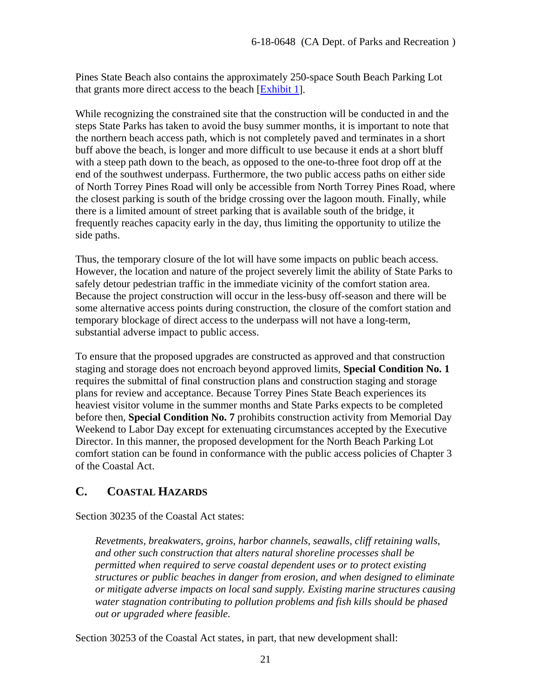Pines State Beach also contains the approximately 250-space South Beach Parking Lot that grants more direct access to the beach [\[Exhibit 1\]](https://documents.coastal.ca.gov/reports/2018/12/Th21b/Th21b-12-2018-exhibits.pdf).

While recognizing the constrained site that the construction will be conducted in and the steps State Parks has taken to avoid the busy summer months, it is important to note that the northern beach access path, which is not completely paved and terminates in a short buff above the beach, is longer and more difficult to use because it ends at a short bluff with a steep path down to the beach, as opposed to the one-to-three foot drop off at the end of the southwest underpass. Furthermore, the two public access paths on either side of North Torrey Pines Road will only be accessible from North Torrey Pines Road, where the closest parking is south of the bridge crossing over the lagoon mouth. Finally, while there is a limited amount of street parking that is available south of the bridge, it frequently reaches capacity early in the day, thus limiting the opportunity to utilize the side paths.

Thus, the temporary closure of the lot will have some impacts on public beach access. However, the location and nature of the project severely limit the ability of State Parks to safely detour pedestrian traffic in the immediate vicinity of the comfort station area. Because the project construction will occur in the less-busy off-season and there will be some alternative access points during construction, the closure of the comfort station and temporary blockage of direct access to the underpass will not have a long-term, substantial adverse impact to public access.

To ensure that the proposed upgrades are constructed as approved and that construction staging and storage does not encroach beyond approved limits, **Special Condition No. 1** requires the submittal of final construction plans and construction staging and storage plans for review and acceptance. Because Torrey Pines State Beach experiences its heaviest visitor volume in the summer months and State Parks expects to be completed before then, **Special Condition No. 7** prohibits construction activity from Memorial Day Weekend to Labor Day except for extenuating circumstances accepted by the Executive Director. In this manner, the proposed development for the North Beach Parking Lot comfort station can be found in conformance with the public access policies of Chapter 3 of the Coastal Act.

## <span id="page-20-0"></span>**C. COASTAL HAZARDS**

Section 30235 of the Coastal Act states:

*Revetments, breakwaters, groins, harbor channels, seawalls, cliff retaining walls, and other such construction that alters natural shoreline processes shall be permitted when required to serve coastal dependent uses or to protect existing structures or public beaches in danger from erosion, and when designed to eliminate or mitigate adverse impacts on local sand supply. Existing marine structures causing water stagnation contributing to pollution problems and fish kills should be phased out or upgraded where feasible.*

Section 30253 of the Coastal Act states, in part, that new development shall: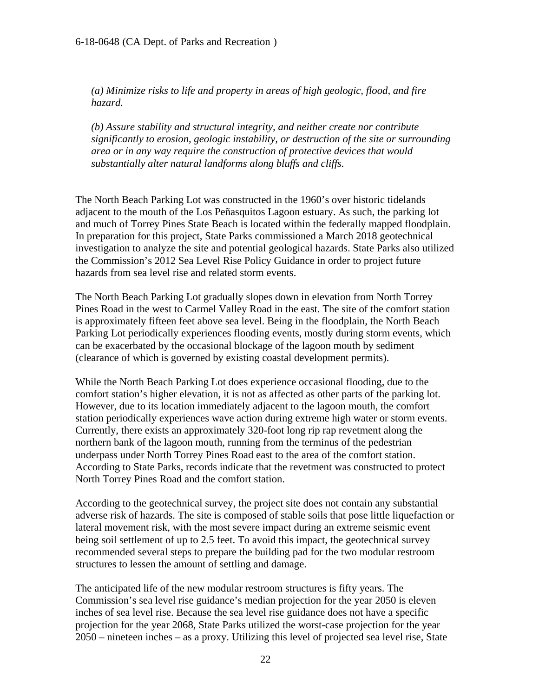*(a) Minimize risks to life and property in areas of high geologic, flood, and fire hazard.*

*(b) Assure stability and structural integrity, and neither create nor contribute significantly to erosion, geologic instability, or destruction of the site or surrounding area or in any way require the construction of protective devices that would substantially alter natural landforms along bluffs and cliffs.*

The North Beach Parking Lot was constructed in the 1960's over historic tidelands adjacent to the mouth of the Los Peñasquitos Lagoon estuary. As such, the parking lot and much of Torrey Pines State Beach is located within the federally mapped floodplain. In preparation for this project, State Parks commissioned a March 2018 geotechnical investigation to analyze the site and potential geological hazards. State Parks also utilized the Commission's 2012 Sea Level Rise Policy Guidance in order to project future hazards from sea level rise and related storm events.

The North Beach Parking Lot gradually slopes down in elevation from North Torrey Pines Road in the west to Carmel Valley Road in the east. The site of the comfort station is approximately fifteen feet above sea level. Being in the floodplain, the North Beach Parking Lot periodically experiences flooding events, mostly during storm events, which can be exacerbated by the occasional blockage of the lagoon mouth by sediment (clearance of which is governed by existing coastal development permits).

While the North Beach Parking Lot does experience occasional flooding, due to the comfort station's higher elevation, it is not as affected as other parts of the parking lot. However, due to its location immediately adjacent to the lagoon mouth, the comfort station periodically experiences wave action during extreme high water or storm events. Currently, there exists an approximately 320-foot long rip rap revetment along the northern bank of the lagoon mouth, running from the terminus of the pedestrian underpass under North Torrey Pines Road east to the area of the comfort station. According to State Parks, records indicate that the revetment was constructed to protect North Torrey Pines Road and the comfort station.

According to the geotechnical survey, the project site does not contain any substantial adverse risk of hazards. The site is composed of stable soils that pose little liquefaction or lateral movement risk, with the most severe impact during an extreme seismic event being soil settlement of up to 2.5 feet. To avoid this impact, the geotechnical survey recommended several steps to prepare the building pad for the two modular restroom structures to lessen the amount of settling and damage.

The anticipated life of the new modular restroom structures is fifty years. The Commission's sea level rise guidance's median projection for the year 2050 is eleven inches of sea level rise. Because the sea level rise guidance does not have a specific projection for the year 2068, State Parks utilized the worst-case projection for the year 2050 – nineteen inches – as a proxy. Utilizing this level of projected sea level rise, State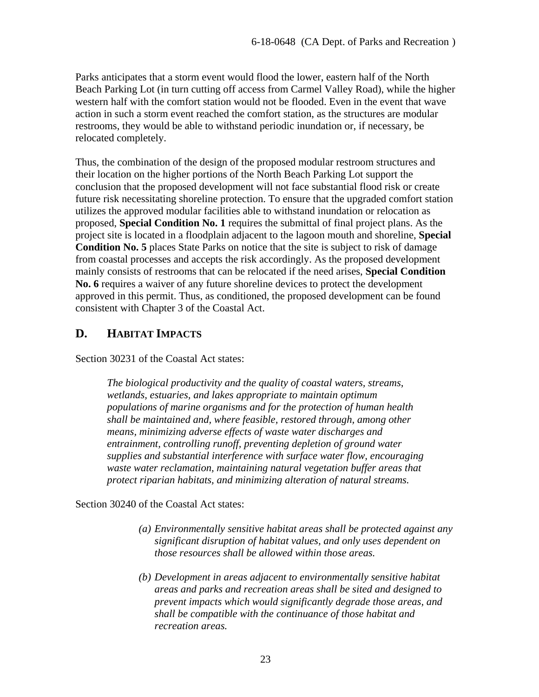Parks anticipates that a storm event would flood the lower, eastern half of the North Beach Parking Lot (in turn cutting off access from Carmel Valley Road), while the higher western half with the comfort station would not be flooded. Even in the event that wave action in such a storm event reached the comfort station, as the structures are modular restrooms, they would be able to withstand periodic inundation or, if necessary, be relocated completely.

Thus, the combination of the design of the proposed modular restroom structures and their location on the higher portions of the North Beach Parking Lot support the conclusion that the proposed development will not face substantial flood risk or create future risk necessitating shoreline protection. To ensure that the upgraded comfort station utilizes the approved modular facilities able to withstand inundation or relocation as proposed, **Special Condition No. 1** requires the submittal of final project plans. As the project site is located in a floodplain adjacent to the lagoon mouth and shoreline, **Special Condition No. 5** places State Parks on notice that the site is subject to risk of damage from coastal processes and accepts the risk accordingly. As the proposed development mainly consists of restrooms that can be relocated if the need arises, **Special Condition No. 6** requires a waiver of any future shoreline devices to protect the development approved in this permit. Thus, as conditioned, the proposed development can be found consistent with Chapter 3 of the Coastal Act.

## <span id="page-22-0"></span>**D. HABITAT IMPACTS**

Section 30231 of the Coastal Act states:

*The biological productivity and the quality of coastal waters, streams, wetlands, estuaries, and lakes appropriate to maintain optimum populations of marine organisms and for the protection of human health shall be maintained and, where feasible, restored through, among other means, minimizing adverse effects of waste water discharges and entrainment, controlling runoff, preventing depletion of ground water supplies and substantial interference with surface water flow, encouraging waste water reclamation, maintaining natural vegetation buffer areas that protect riparian habitats, and minimizing alteration of natural streams.*

Section 30240 of the Coastal Act states:

- *(a) Environmentally sensitive habitat areas shall be protected against any significant disruption of habitat values, and only uses dependent on those resources shall be allowed within those areas.*
- *(b) Development in areas adjacent to environmentally sensitive habitat areas and parks and recreation areas shall be sited and designed to prevent impacts which would significantly degrade those areas, and shall be compatible with the continuance of those habitat and recreation areas.*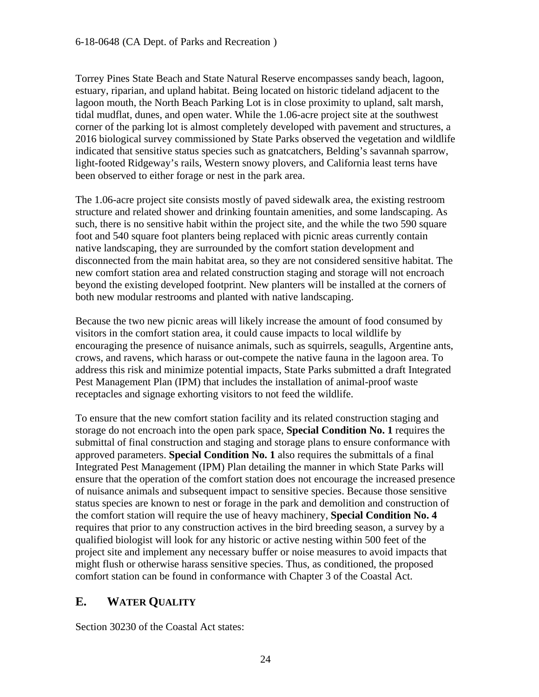Torrey Pines State Beach and State Natural Reserve encompasses sandy beach, lagoon, estuary, riparian, and upland habitat. Being located on historic tideland adjacent to the lagoon mouth, the North Beach Parking Lot is in close proximity to upland, salt marsh, tidal mudflat, dunes, and open water. While the 1.06-acre project site at the southwest corner of the parking lot is almost completely developed with pavement and structures, a 2016 biological survey commissioned by State Parks observed the vegetation and wildlife indicated that sensitive status species such as gnatcatchers, Belding's savannah sparrow, light-footed Ridgeway's rails, Western snowy plovers, and California least terns have been observed to either forage or nest in the park area.

The 1.06-acre project site consists mostly of paved sidewalk area, the existing restroom structure and related shower and drinking fountain amenities, and some landscaping. As such, there is no sensitive habit within the project site, and the while the two 590 square foot and 540 square foot planters being replaced with picnic areas currently contain native landscaping, they are surrounded by the comfort station development and disconnected from the main habitat area, so they are not considered sensitive habitat. The new comfort station area and related construction staging and storage will not encroach beyond the existing developed footprint. New planters will be installed at the corners of both new modular restrooms and planted with native landscaping.

Because the two new picnic areas will likely increase the amount of food consumed by visitors in the comfort station area, it could cause impacts to local wildlife by encouraging the presence of nuisance animals, such as squirrels, seagulls, Argentine ants, crows, and ravens, which harass or out-compete the native fauna in the lagoon area. To address this risk and minimize potential impacts, State Parks submitted a draft Integrated Pest Management Plan (IPM) that includes the installation of animal-proof waste receptacles and signage exhorting visitors to not feed the wildlife.

To ensure that the new comfort station facility and its related construction staging and storage do not encroach into the open park space, **Special Condition No. 1** requires the submittal of final construction and staging and storage plans to ensure conformance with approved parameters. **Special Condition No. 1** also requires the submittals of a final Integrated Pest Management (IPM) Plan detailing the manner in which State Parks will ensure that the operation of the comfort station does not encourage the increased presence of nuisance animals and subsequent impact to sensitive species. Because those sensitive status species are known to nest or forage in the park and demolition and construction of the comfort station will require the use of heavy machinery, **Special Condition No. 4** requires that prior to any construction actives in the bird breeding season, a survey by a qualified biologist will look for any historic or active nesting within 500 feet of the project site and implement any necessary buffer or noise measures to avoid impacts that might flush or otherwise harass sensitive species. Thus, as conditioned, the proposed comfort station can be found in conformance with Chapter 3 of the Coastal Act.

## <span id="page-23-0"></span>**E. WATER QUALITY**

Section 30230 of the Coastal Act states: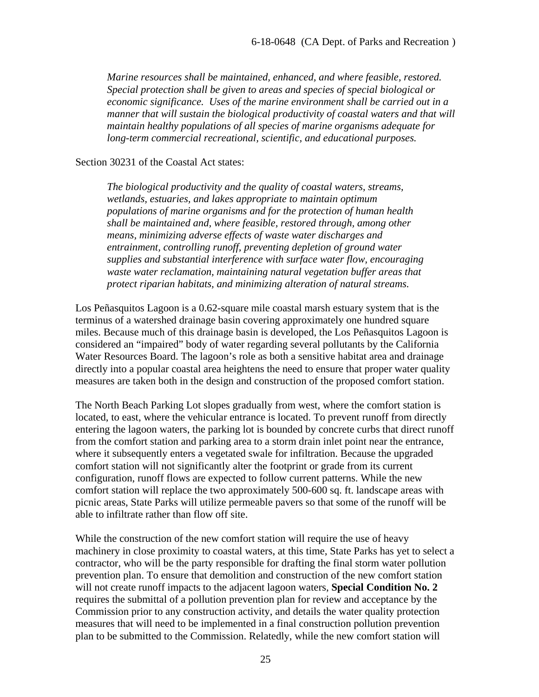*Marine resources shall be maintained, enhanced, and where feasible, restored. Special protection shall be given to areas and species of special biological or economic significance. Uses of the marine environment shall be carried out in a manner that will sustain the biological productivity of coastal waters and that will maintain healthy populations of all species of marine organisms adequate for long-term commercial recreational, scientific, and educational purposes.*

#### Section 30231 of the Coastal Act states:

*The biological productivity and the quality of coastal waters, streams, wetlands, estuaries, and lakes appropriate to maintain optimum populations of marine organisms and for the protection of human health shall be maintained and, where feasible, restored through, among other means, minimizing adverse effects of waste water discharges and entrainment, controlling runoff, preventing depletion of ground water supplies and substantial interference with surface water flow, encouraging waste water reclamation, maintaining natural vegetation buffer areas that protect riparian habitats, and minimizing alteration of natural streams.*

Los Peñasquitos Lagoon is a 0.62-square mile coastal marsh estuary system that is the terminus of a watershed drainage basin covering approximately one hundred square miles. Because much of this drainage basin is developed, the Los Peñasquitos Lagoon is considered an "impaired" body of water regarding several pollutants by the California Water Resources Board. The lagoon's role as both a sensitive habitat area and drainage directly into a popular coastal area heightens the need to ensure that proper water quality measures are taken both in the design and construction of the proposed comfort station.

The North Beach Parking Lot slopes gradually from west, where the comfort station is located, to east, where the vehicular entrance is located. To prevent runoff from directly entering the lagoon waters, the parking lot is bounded by concrete curbs that direct runoff from the comfort station and parking area to a storm drain inlet point near the entrance, where it subsequently enters a vegetated swale for infiltration. Because the upgraded comfort station will not significantly alter the footprint or grade from its current configuration, runoff flows are expected to follow current patterns. While the new comfort station will replace the two approximately 500-600 sq. ft. landscape areas with picnic areas, State Parks will utilize permeable pavers so that some of the runoff will be able to infiltrate rather than flow off site.

While the construction of the new comfort station will require the use of heavy machinery in close proximity to coastal waters, at this time, State Parks has yet to select a contractor, who will be the party responsible for drafting the final storm water pollution prevention plan. To ensure that demolition and construction of the new comfort station will not create runoff impacts to the adjacent lagoon waters, **Special Condition No. 2** requires the submittal of a pollution prevention plan for review and acceptance by the Commission prior to any construction activity, and details the water quality protection measures that will need to be implemented in a final construction pollution prevention plan to be submitted to the Commission. Relatedly, while the new comfort station will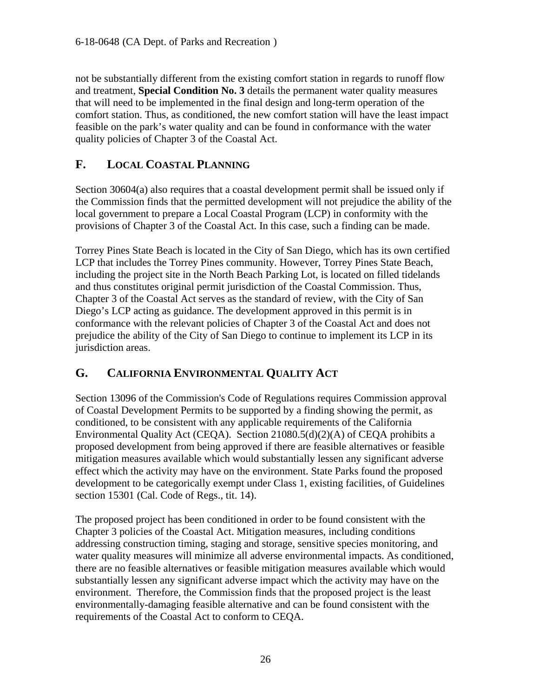not be substantially different from the existing comfort station in regards to runoff flow and treatment, **Special Condition No. 3** details the permanent water quality measures that will need to be implemented in the final design and long-term operation of the comfort station. Thus, as conditioned, the new comfort station will have the least impact feasible on the park's water quality and can be found in conformance with the water quality policies of Chapter 3 of the Coastal Act.

## <span id="page-25-0"></span>**F. LOCAL COASTAL PLANNING**

Section 30604(a) also requires that a coastal development permit shall be issued only if the Commission finds that the permitted development will not prejudice the ability of the local government to prepare a Local Coastal Program (LCP) in conformity with the provisions of Chapter 3 of the Coastal Act. In this case, such a finding can be made.

Torrey Pines State Beach is located in the City of San Diego, which has its own certified LCP that includes the Torrey Pines community. However, Torrey Pines State Beach, including the project site in the North Beach Parking Lot, is located on filled tidelands and thus constitutes original permit jurisdiction of the Coastal Commission. Thus, Chapter 3 of the Coastal Act serves as the standard of review, with the City of San Diego's LCP acting as guidance. The development approved in this permit is in conformance with the relevant policies of Chapter 3 of the Coastal Act and does not prejudice the ability of the City of San Diego to continue to implement its LCP in its jurisdiction areas.

## <span id="page-25-1"></span>**G. CALIFORNIA ENVIRONMENTAL QUALITY ACT**

Section 13096 of the Commission's Code of Regulations requires Commission approval of Coastal Development Permits to be supported by a finding showing the permit, as conditioned, to be consistent with any applicable requirements of the California Environmental Quality Act (CEQA). Section 21080.5(d)(2)(A) of CEQA prohibits a proposed development from being approved if there are feasible alternatives or feasible mitigation measures available which would substantially lessen any significant adverse effect which the activity may have on the environment. State Parks found the proposed development to be categorically exempt under Class 1, existing facilities, of Guidelines section 15301 (Cal. Code of Regs., tit. 14).

The proposed project has been conditioned in order to be found consistent with the Chapter 3 policies of the Coastal Act. Mitigation measures, including conditions addressing construction timing, staging and storage, sensitive species monitoring, and water quality measures will minimize all adverse environmental impacts. As conditioned, there are no feasible alternatives or feasible mitigation measures available which would substantially lessen any significant adverse impact which the activity may have on the environment. Therefore, the Commission finds that the proposed project is the least environmentally-damaging feasible alternative and can be found consistent with the requirements of the Coastal Act to conform to CEQA.